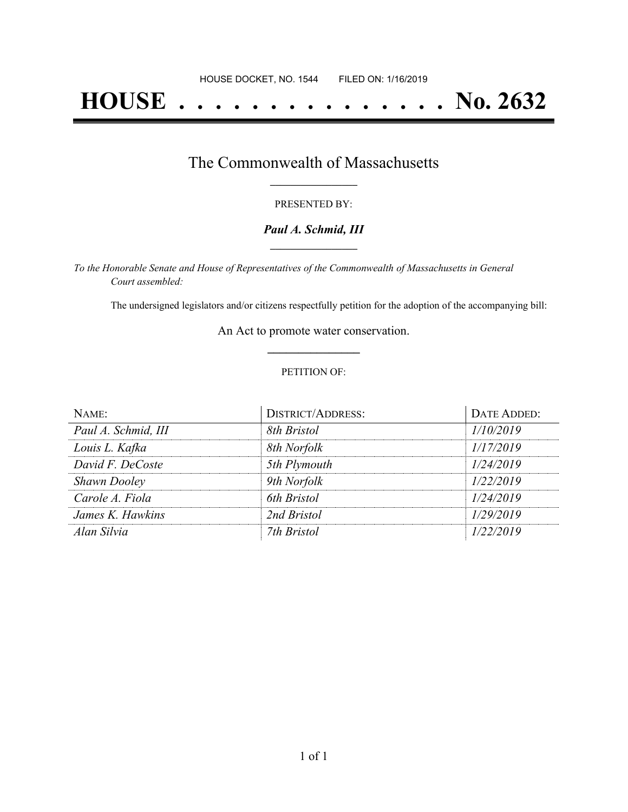# **HOUSE . . . . . . . . . . . . . . . No. 2632**

## The Commonwealth of Massachusetts **\_\_\_\_\_\_\_\_\_\_\_\_\_\_\_\_\_**

#### PRESENTED BY:

#### *Paul A. Schmid, III* **\_\_\_\_\_\_\_\_\_\_\_\_\_\_\_\_\_**

*To the Honorable Senate and House of Representatives of the Commonwealth of Massachusetts in General Court assembled:*

The undersigned legislators and/or citizens respectfully petition for the adoption of the accompanying bill:

An Act to promote water conservation. **\_\_\_\_\_\_\_\_\_\_\_\_\_\_\_**

#### PETITION OF:

| NAME:               | <b>DISTRICT/ADDRESS:</b> | DATE ADDED: |
|---------------------|--------------------------|-------------|
| Paul A. Schmid, III | 8th Bristol              | 1/10/2019   |
| Louis L. Kafka      | 8th Norfolk              | 1/17/2019   |
| David F. DeCoste    | 5th Plymouth             | 1/24/2019   |
| <b>Shawn Dooley</b> | 9th Norfolk              | 1/22/2019   |
| Carole A. Fiola     | 6th Bristol              | 1/24/2019   |
| James K. Hawkins    | 2nd Bristol              | 1/29/2019   |
| Alan Silvia         | 7th Bristol              | 1/22/2019   |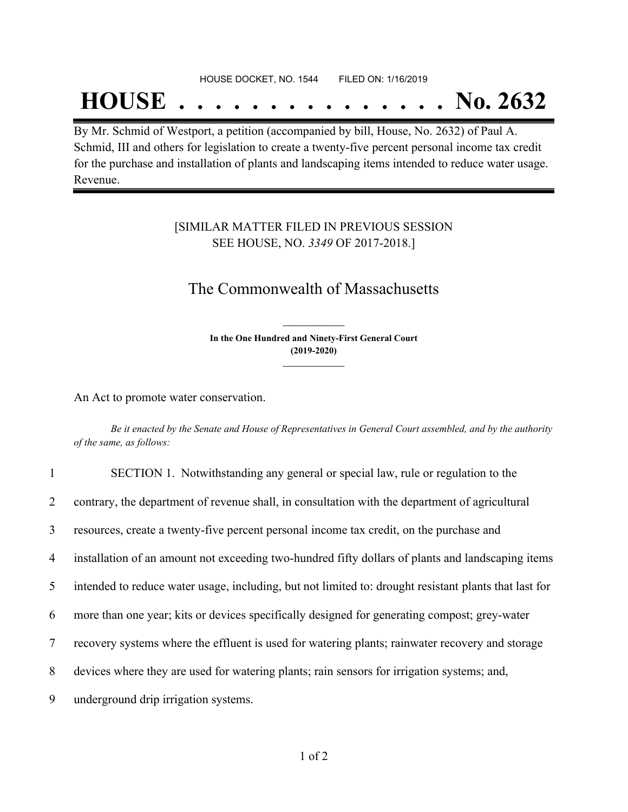#### HOUSE DOCKET, NO. 1544 FILED ON: 1/16/2019

## **HOUSE . . . . . . . . . . . . . . . No. 2632**

By Mr. Schmid of Westport, a petition (accompanied by bill, House, No. 2632) of Paul A. Schmid, III and others for legislation to create a twenty-five percent personal income tax credit for the purchase and installation of plants and landscaping items intended to reduce water usage. Revenue.

#### [SIMILAR MATTER FILED IN PREVIOUS SESSION SEE HOUSE, NO. *3349* OF 2017-2018.]

## The Commonwealth of Massachusetts

**In the One Hundred and Ninety-First General Court (2019-2020) \_\_\_\_\_\_\_\_\_\_\_\_\_\_\_**

**\_\_\_\_\_\_\_\_\_\_\_\_\_\_\_**

An Act to promote water conservation.

Be it enacted by the Senate and House of Representatives in General Court assembled, and by the authority *of the same, as follows:*

| $\mathbf{1}$   | SECTION 1. Notwithstanding any general or special law, rule or regulation to the                      |
|----------------|-------------------------------------------------------------------------------------------------------|
| $\overline{2}$ | contrary, the department of revenue shall, in consultation with the department of agricultural        |
| $\overline{3}$ | resources, create a twenty-five percent personal income tax credit, on the purchase and               |
| 4              | installation of an amount not exceeding two-hundred fifty dollars of plants and landscaping items     |
| 5              | intended to reduce water usage, including, but not limited to: drought resistant plants that last for |
| 6              | more than one year; kits or devices specifically designed for generating compost; grey-water          |
| 7              | recovery systems where the effluent is used for watering plants; rainwater recovery and storage       |
| 8              | devices where they are used for watering plants; rain sensors for irrigation systems; and,            |
| 9              | underground drip irrigation systems.                                                                  |